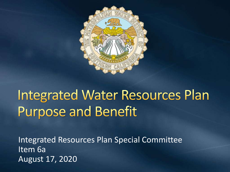

# **Integrated Water Resources Plan Purpose and Benefit**

Integrated Resources Plan Special Committee Item 6a August 17, 2020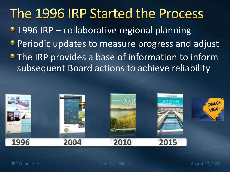#### The 1996 IRP Started the Process

- 1996 IRP collaborative regional planning
- **Periodic updates to measure progress and adjust**
- **The IRP provides a base of information to inform** subsequent Board actions to achieve reliability

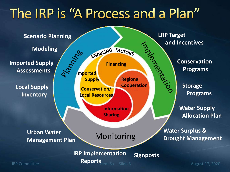#### The IRP is "A Process and a Plan"

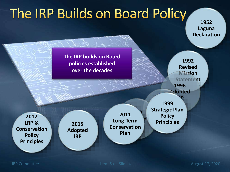# The IRP Builds on Board Policy

**1952 Laguna Declaration**

**The IRP builds on Board policies established over the decades**

**1992 Revised Mission Statement 1996 Adopted IRP**

**2017 LRP & Conservation Policy Principles**

**Adopted IRP**

**Long-Term 2015 Conservation 2011 Plan**

**2004 1999 Strategic Po Strategic Plan Policy Principles**

IRP Committee International Committee Item 6a Slide 4 August 17, 2020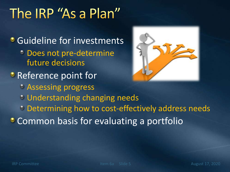## The IRP "As a Plan"

**C** Guideline for investments Does not pre-determine future decisions **P** Reference point for Assessing progress Understanding changing needs **Determining how to cost-effectively address needs Common basis for evaluating a portfolio** 

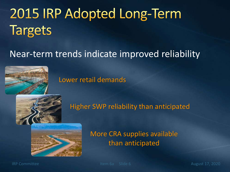# 2015 IRP Adopted Long-Term **Targets**

#### Near-term trends indicate improved reliability





Higher SWP reliability than anticipated



More CRA supplies available than anticipated

IRP Committee International Litem 6a Slide 6 August 17, 2020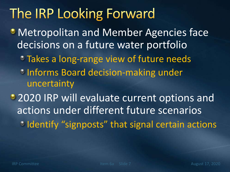### The IRP Looking Forward

- **Metropolitan and Member Agencies face** decisions on a future water portfolio
	- Takes a long-range view of future needs
	- **Informs Board decision-making under** uncertainty

• 2020 IRP will evaluate current options and actions under different future scenarios <sup>•</sup> Identify "signposts" that signal certain actions